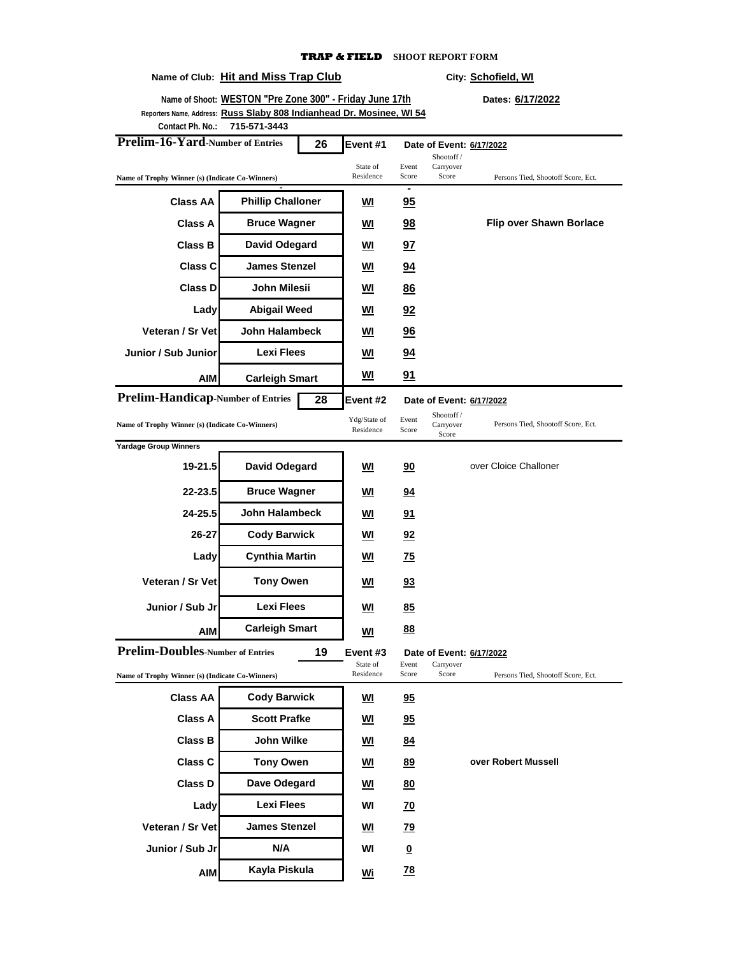#### **Name of Club:** Hit and Miss Trap Club **City:** City: Schofield, WI

**over Robert Mussell**

| Name of Shoot: WESTON "Pre Zone 300" - Friday June 17th<br>Reporters Name, Address: Russ Slaby 808 Indianhead Dr. Mosinee, WI 54 |                          |                           |                          |                                  |                                    | Dates: 6/17/2022                   |
|----------------------------------------------------------------------------------------------------------------------------------|--------------------------|---------------------------|--------------------------|----------------------------------|------------------------------------|------------------------------------|
| Contact Ph. No.:                                                                                                                 | 715-571-3443             |                           |                          |                                  |                                    |                                    |
| Prelim-16-Yard-Number of Entries                                                                                                 | Event #1                 |                           | Date of Event: 6/17/2022 |                                  |                                    |                                    |
| Name of Trophy Winner (s) (Indicate Co-Winners)                                                                                  |                          |                           | State of<br>Residence    | Event<br>Score                   | Shootoff /<br>Carryover<br>Score   | Persons Tied, Shootoff Score, Ect. |
| <b>Class AA</b>                                                                                                                  | <b>Phillip Challoner</b> |                           | WI                       | Ξ<br>95                          |                                    |                                    |
| <b>Class A</b>                                                                                                                   | <b>Bruce Wagner</b>      |                           | WI                       | 98                               |                                    | <b>Flip over Shawn Borlace</b>     |
| <b>Class B</b>                                                                                                                   | <b>David Odegard</b>     |                           | WI                       | 97                               |                                    |                                    |
| <b>Class C</b>                                                                                                                   | <b>James Stenzel</b>     |                           | WI                       | <u>94</u>                        |                                    |                                    |
| <b>Class D</b>                                                                                                                   | John Milesii             |                           | WI                       | 86                               |                                    |                                    |
| Lady                                                                                                                             | <b>Abigail Weed</b>      |                           | WI                       | 92                               |                                    |                                    |
| Veteran / Sr Vet                                                                                                                 | John Halambeck           |                           | WI                       | <u>96</u>                        |                                    |                                    |
| Junior / Sub Junior                                                                                                              | Lexi Flees               |                           | <u>WI</u>                | <u>94</u>                        |                                    |                                    |
| AIM                                                                                                                              | <b>Carleigh Smart</b>    |                           | <u>WI</u>                | <u>91</u>                        |                                    |                                    |
| <b>Prelim-Handicap-Number of Entries</b>                                                                                         |                          | 28                        | Event #2                 |                                  | Date of Event: 6/17/2022           |                                    |
| Name of Trophy Winner (s) (Indicate Co-Winners)                                                                                  |                          | Ydg/State of<br>Residence | Event<br>Score           | Shootoff /<br>Carryover<br>Score | Persons Tied, Shootoff Score, Ect. |                                    |
| <b>Yardage Group Winners</b>                                                                                                     |                          |                           |                          |                                  |                                    |                                    |
| 19-21.5                                                                                                                          | David Odegard            |                           | WI                       | 90                               |                                    | over Cloice Challoner              |
| 22-23.5                                                                                                                          | <b>Bruce Wagner</b>      |                           | WI                       | 94                               |                                    |                                    |
| 24-25.5                                                                                                                          | John Halambeck           |                           | WI                       | 91                               |                                    |                                    |
| 26-27                                                                                                                            | <b>Cody Barwick</b>      |                           | WI                       | 92                               |                                    |                                    |
| Lady                                                                                                                             | <b>Cynthia Martin</b>    |                           | WI                       | <u>75</u>                        |                                    |                                    |
| Veteran / Sr Vet                                                                                                                 | <b>Tony Owen</b>         |                           | WI                       | 93                               |                                    |                                    |
| Junior / Sub Jr                                                                                                                  | Lexi Flees               |                           | WI                       | 85                               |                                    |                                    |
| <b>AIM</b>                                                                                                                       | <b>Carleigh Smart</b>    |                           | <u>WI</u>                | 88                               |                                    |                                    |
| <b>Prelim-Doubles-Number of Entries</b>                                                                                          |                          | 19                        | Event #3                 |                                  | Date of Event: 6/17/2022           |                                    |
| Name of Trophy Winner (s) (Indicate Co-Winners)                                                                                  |                          |                           | State of<br>Residence    | Event<br>Score                   | Carryover<br>Score                 | Persons Tied, Shootoff Score, Ect. |
| <b>Class AA</b>                                                                                                                  | <b>Cody Barwick</b>      |                           | <u>WI</u>                | 95                               |                                    |                                    |
| <b>Class A</b>                                                                                                                   | <b>Scott Prafke</b>      |                           | <u>WI</u>                | 95                               |                                    |                                    |

**Class B WI 84 John Wilke Class C WI 89 Tony Owen Class D Dave Odegard NI <u>80</u></u> Lady WI 70 Lexi Flees**

**AIM Wi 78 Kayla Piskula**

Veteran / Sr Vet James Stenzel <u>WI</u> 79 **Junior / Sub Jr N/A WI 0** 

**James Stenzel**

**N/A**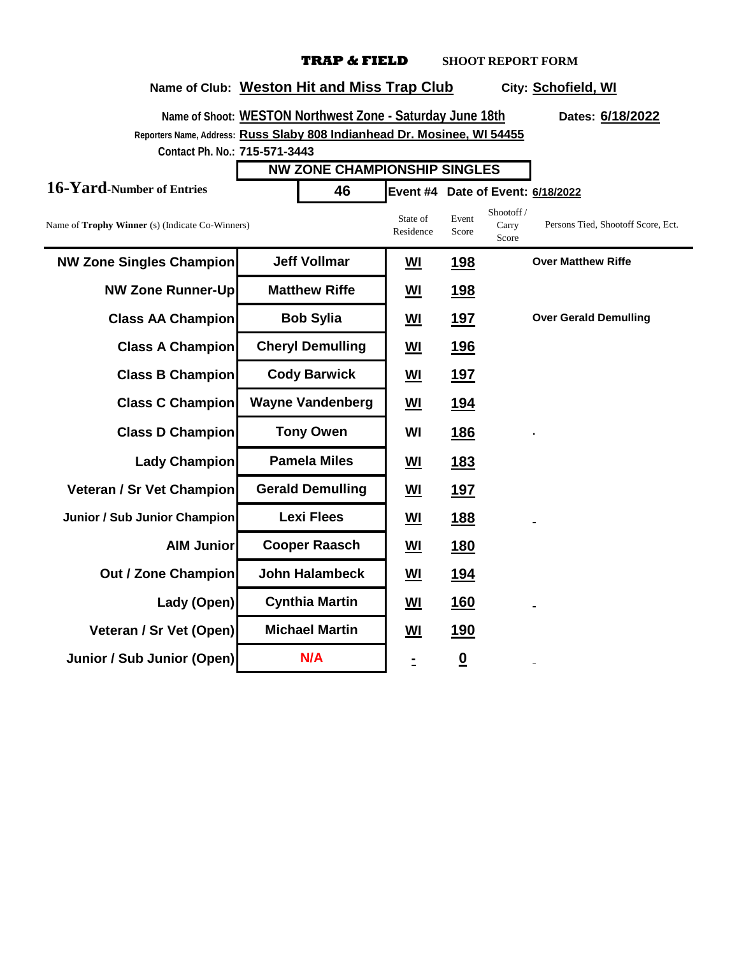**Name of Club: Weston Hit and Miss Trap Club City: Schofield, WI**

#### **Name of Shoot: WESTON Northwest Zone - Saturday June 18th Dates: 6/18/2022 Reporters Name, Address: Russ Slaby 808 Indianhead Dr. Mosinee, WI 54455 Contact Ph. No.: 715-571-3443 16-Yard-Number of Entries 46 Event #4 Date of Event: 6/18/2022** Name of **Trophy Winner** (s) (Indicate Co-Winners) State of Residence Event Score Shootoff / Carry Score **NW Zone Singles Champion WI Jeff Vollmar WI 198 NW Zone Runner-Up** Matthew Riffe |  $\frac{WI}{I}$  198 **Class AA Champion Bob Sylia** |  $\underline{W1}$  197 **Class A Champion Cheryl Demulling** | **WI** 196 **Class B Champion Cody Barwick** |  $\underline{W1}$  197 **Class C Champion** Wayne Vandenberg | WI 194 **Class D Champion WI 186** Lady Champion **Pamela Miles** | WI 183 **Veteran / Sr Vet Champion Gerald Demulling** | **WI** 197 **Junior / Sub Junior Champion Lexi Flees** |  $\underline{W1}$  188 **AIM Junior WI 180 Cooper Raasch Out / Zone Champion** John Halambeck | WI 194 **Lady (Open) WI 160 Cynthia Martin Veteran / Sr Vet (Open)** Michael Martin |  $\underline{W1}$  190 **Junior / Sub Junior (Open) N/A 1 1 1 0 Matthew Riffe NW ZONE CHAMPIONSHIP SINGLES** Persons Tied, Shootoff Score, Ect. **Bob Sylvia Booth Sylvian Cheryl Demulling Cody Barwick Over Matthew Riffe John Halambeck Tony Owen . Gerald Demulling Wayne Vandenberg Pamela Miles Lexi Flees Michael Martin N/A**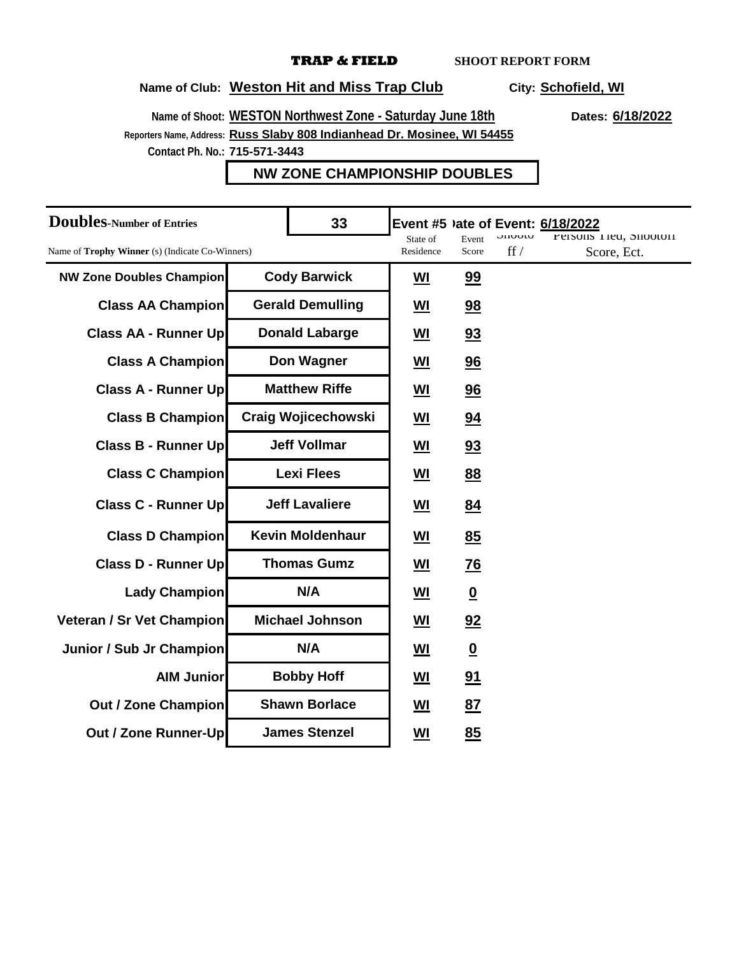# **Name of Club: Weston Hit and Miss Trap Club City: Schofield, WI**

**Name of Shoot:** WESTON Northwest Zone - Saturday June 18th Dates: 6/18/2022 **Reporters Name, Address: Russ Slaby 808 Indianhead Dr. Mosinee, WI 54455**

**Contact Ph. No.: 715-571-3443**

### **NW ZONE CHAMPIONSHIP DOUBLES**

| <b>Doubles-Number of Entries</b>                       |                            | 33                      | Event #5 ) ate of Event: 6/18/2022 |                          | <b>UJUULG</b> | Persons 11eu, Snooton |
|--------------------------------------------------------|----------------------------|-------------------------|------------------------------------|--------------------------|---------------|-----------------------|
| Name of <b>Trophy Winner</b> (s) (Indicate Co-Winners) |                            | State of<br>Residence   | Event<br>Score                     | $\int f f$               | Score, Ect.   |                       |
| <b>NW Zone Doubles Champion</b>                        | <b>Cody Barwick</b>        |                         | $Wl$                               | 99                       |               |                       |
| <b>Class AA Champion</b>                               |                            | <b>Gerald Demulling</b> | <u>WI</u>                          | 98                       |               |                       |
| <b>Class AA - Runner Up</b>                            |                            | <b>Donald Labarge</b>   | <u>WI</u>                          | 93                       |               |                       |
| <b>Class A Champion</b>                                |                            | Don Wagner              | $\underline{\mathsf{W}}$           | 96                       |               |                       |
| <b>Class A - Runner Up</b>                             |                            | <b>Matthew Riffe</b>    | <u>WI</u>                          | 96                       |               |                       |
| <b>Class B Champion</b>                                | <b>Craig Wojicechowski</b> |                         | <u>WI</u>                          | 94                       |               |                       |
| Class B - Runner Up                                    | <b>Jeff Vollmar</b>        |                         | <u>WI</u>                          | 93                       |               |                       |
| <b>Class C Champion</b>                                | <b>Lexi Flees</b>          |                         | $M$                                | 88                       |               |                       |
| Class C - Runner Up                                    | <b>Jeff Lavaliere</b>      |                         | <u>WI</u>                          | 84                       |               |                       |
| <b>Class D Champion</b>                                | <b>Kevin Moldenhaur</b>    |                         | <u>WI</u>                          | 85                       |               |                       |
| Class D - Runner Up                                    | <b>Thomas Gumz</b>         |                         | <u>WI</u>                          | $\underline{76}$         |               |                       |
| Lady Champion                                          | N/A                        |                         | <u>WI</u>                          | $\underline{\mathbf{0}}$ |               |                       |
| Veteran / Sr Vet Champion                              | <b>Michael Johnson</b>     |                         | <u>WI</u>                          | 92                       |               |                       |
| Junior / Sub Jr Champion                               | N/A                        |                         | <b>WI</b>                          | $\overline{\mathbf{0}}$  |               |                       |
| <b>AIM Junior</b>                                      | <b>Bobby Hoff</b>          |                         | <u>WI</u>                          | 91                       |               |                       |
| <b>Out / Zone Champion</b>                             | <b>Shawn Borlace</b>       |                         | <u>WI</u>                          | <u>87</u>                |               |                       |
| Out / Zone Runner-Up                                   | <b>James Stenzel</b>       |                         | WI                                 | 85                       |               |                       |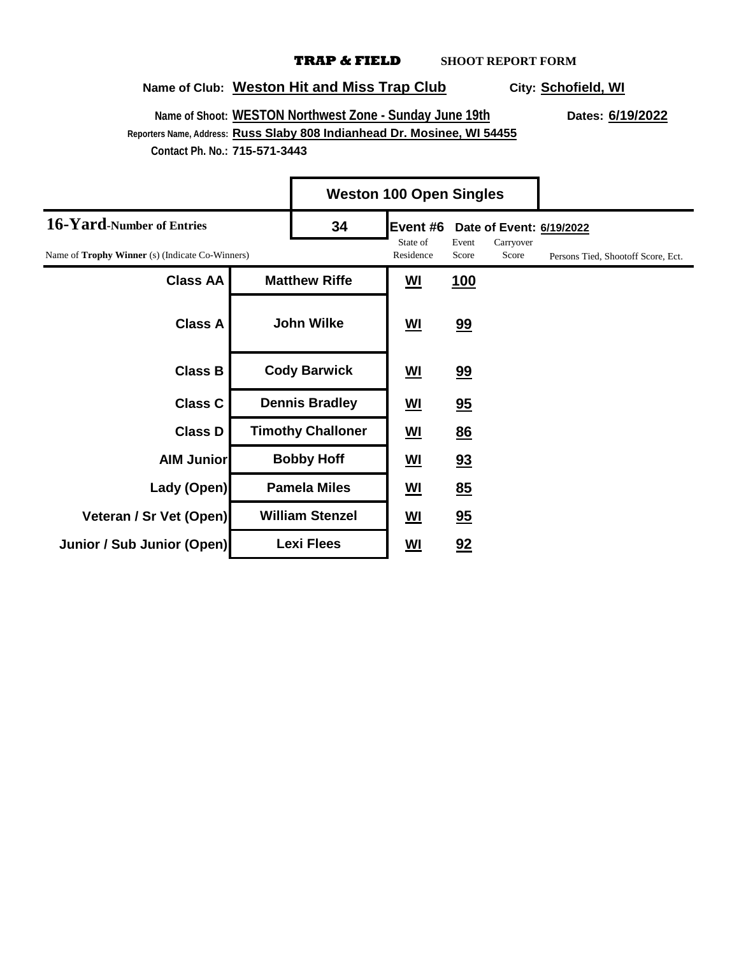## **Name of Club: Weston Hit and Miss Trap Club City: Schofield, WI**

 $\blacksquare$ 

**Name of Shoot:** WESTON Northwest Zone - Sunday June 19th<br>
Dates: 6/19/2022 **Reporters Name, Address: Russ Slaby 808 Indianhead Dr. Mosinee, WI 54455 Contact Ph. No.: 715-571-3443**

|                                                        |                          |                        | <b>Weston 100 Open Singles</b> |                          |                                    |  |
|--------------------------------------------------------|--------------------------|------------------------|--------------------------------|--------------------------|------------------------------------|--|
| 16-Yard-Number of Entries                              | 34                       | Event #6               |                                | Date of Event: 6/19/2022 |                                    |  |
| Name of <b>Trophy Winner</b> (s) (Indicate Co-Winners) |                          | State of<br>Residence  | Event<br>Score                 | Carryover<br>Score       | Persons Tied, Shootoff Score, Ect. |  |
| <b>Class AA</b>                                        |                          | <b>Matthew Riffe</b>   | <u>WI</u>                      | <u>100</u>               |                                    |  |
| <b>Class A</b>                                         |                          | <b>John Wilke</b>      | <u>WI</u>                      | 99                       |                                    |  |
| <b>Class B</b>                                         | <b>Cody Barwick</b>      |                        | <u>WI</u>                      | 99                       |                                    |  |
| <b>Class C</b>                                         | <b>Dennis Bradley</b>    |                        | <u>WI</u>                      | 95                       |                                    |  |
| <b>Class D</b>                                         | <b>Timothy Challoner</b> |                        | <u>WI</u>                      | 86                       |                                    |  |
| <b>AIM Junior</b>                                      |                          | <b>Bobby Hoff</b>      | <u>WI</u>                      | 93                       |                                    |  |
| Lady (Open)                                            |                          | <b>Pamela Miles</b>    | <u>WI</u>                      | 85                       |                                    |  |
| Veteran / Sr Vet (Open)                                |                          | <b>William Stenzel</b> | <u>WI</u>                      | 95                       |                                    |  |
| Junior / Sub Junior (Open)                             |                          | <b>Lexi Flees</b>      | <u>WI</u>                      | 92                       |                                    |  |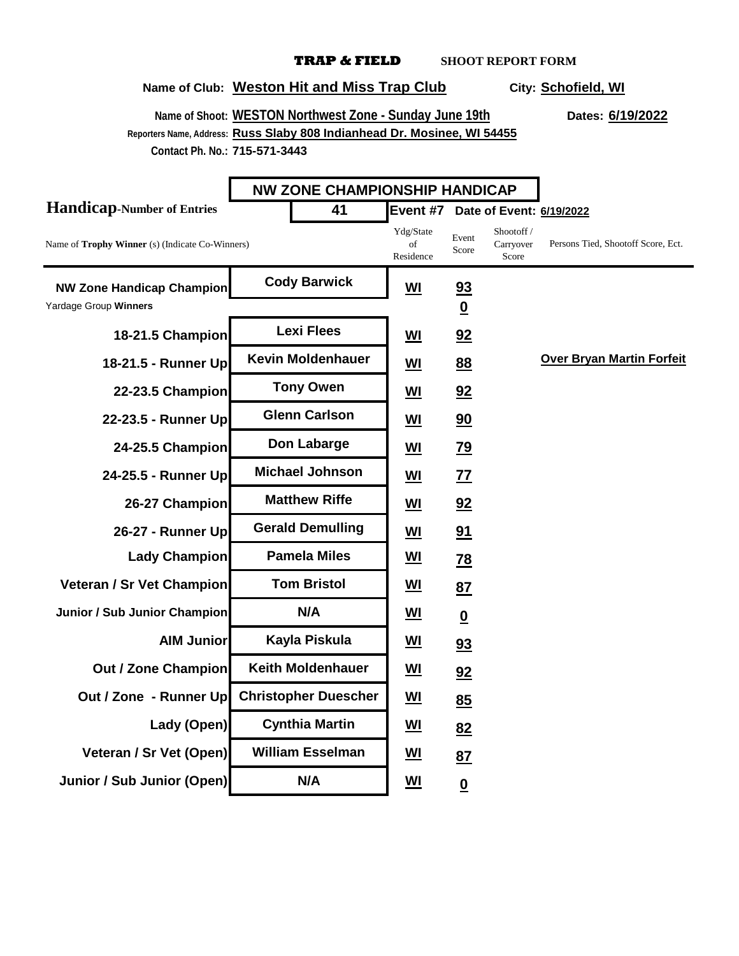# **Name of Club: Weston Hit and Miss Trap Club City: Schofield, WI**

**Name of Shoot:** WESTON Northwest Zone - Sunday June 19th<br>
Dates: 6/19/2022

**Reporters Name, Address: Russ Slaby 808 Indianhead Dr. Mosinee, WI 54455 Contact Ph. No.: 715-571-3443**

|                                                           | <b>NW ZONE CHAMPIONSHIP HANDICAP</b> |                                                            |                                             |                                  |                                    |
|-----------------------------------------------------------|--------------------------------------|------------------------------------------------------------|---------------------------------------------|----------------------------------|------------------------------------|
| <b>Handicap-Number of Entries</b>                         | 41                                   | Event #7 Date of Event: 6/19/2022                          |                                             |                                  |                                    |
| Name of Trophy Winner (s) (Indicate Co-Winners)           |                                      | Ydg/State<br>of<br>Residence                               | Event<br>Score                              | Shootoff /<br>Carryover<br>Score | Persons Tied, Shootoff Score, Ect. |
| <b>NW Zone Handicap Champion</b><br>Yardage Group Winners | <b>Cody Barwick</b>                  | <u>WI</u>                                                  | $\overline{23}$<br>$\underline{\mathbf{0}}$ |                                  |                                    |
| 18-21.5 Champion                                          | <b>Lexi Flees</b>                    | <u>WI</u>                                                  | 92                                          |                                  |                                    |
| 18-21.5 - Runner Up                                       | <b>Kevin Moldenhauer</b>             | $M$                                                        | 88                                          |                                  | <b>Over Bryan Martin Forfeit</b>   |
| 22-23.5 Champion                                          | <b>Tony Owen</b>                     | $M$                                                        | 92                                          |                                  |                                    |
| 22-23.5 - Runner Up                                       | <b>Glenn Carlson</b>                 | $M$                                                        | 90                                          |                                  |                                    |
| 24-25.5 Champion                                          | Don Labarge                          | <b>WI</b>                                                  | <u>79</u>                                   |                                  |                                    |
| 24-25.5 - Runner Up                                       | <b>Michael Johnson</b>               | <u>WI</u>                                                  | <u>77</u>                                   |                                  |                                    |
| 26-27 Champion                                            | <b>Matthew Riffe</b>                 | <u>WI</u>                                                  | 92                                          |                                  |                                    |
| 26-27 - Runner Up                                         | <b>Gerald Demulling</b>              | $M$                                                        | 91                                          |                                  |                                    |
| <b>Lady Champion</b>                                      | <b>Pamela Miles</b>                  | <u>WI</u>                                                  | $\overline{28}$                             |                                  |                                    |
| <b>Veteran / Sr Vet Champion</b>                          | <b>Tom Bristol</b>                   | <u>WI</u>                                                  | 87                                          |                                  |                                    |
| Junior / Sub Junior Champion                              | N/A                                  | <u>WI</u>                                                  | $\underline{\mathbf{0}}$                    |                                  |                                    |
| <b>AIM Junior</b>                                         | Kayla Piskula                        | <u>WI</u>                                                  | 93                                          |                                  |                                    |
| <b>Out / Zone Champion</b>                                | <b>Keith Moldenhauer</b>             | <u>WI</u>                                                  | 92                                          |                                  |                                    |
| Out / Zone - Runner Up                                    | <b>Christopher Duescher</b>          | $\underline{\underline{\mathsf{W}}\underline{\mathsf{I}}}$ | 85                                          |                                  |                                    |
| Lady (Open)                                               | <b>Cynthia Martin</b>                | $M$                                                        | 82                                          |                                  |                                    |
| Veteran / Sr Vet (Open)                                   | <b>William Esselman</b>              | <u>WI</u>                                                  | 87                                          |                                  |                                    |
| Junior / Sub Junior (Open)                                | N/A                                  | <u>WI</u>                                                  | $\underline{\mathbf{0}}$                    |                                  |                                    |